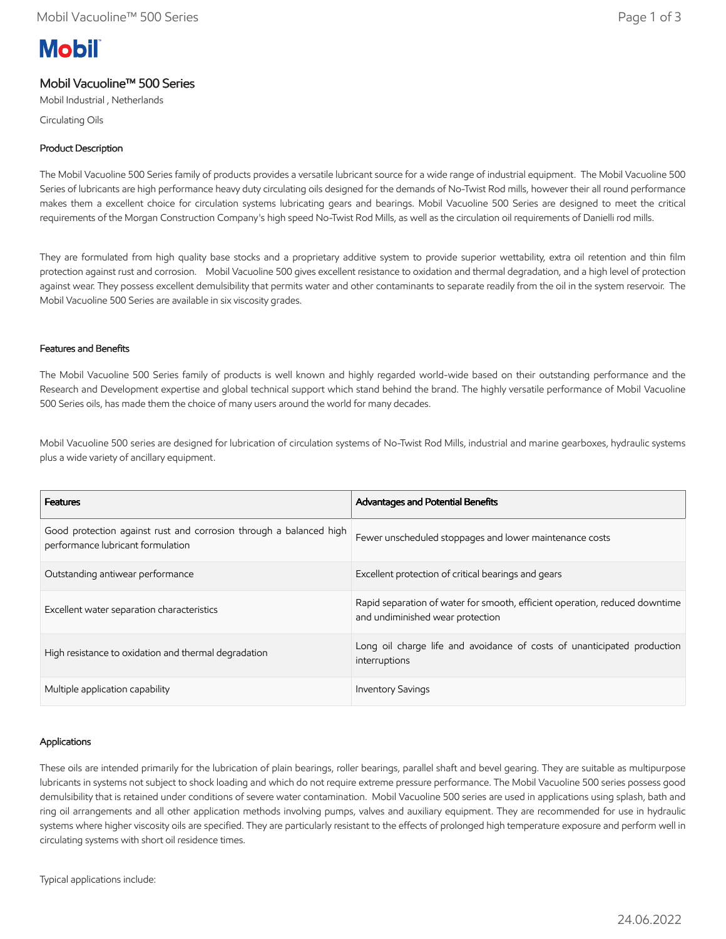# **Mobil**

# Mobil Vacuoline™ 500 Series

Mobil Industrial , Netherlands

Circulating Oils

## Product Description

The Mobil Vacuoline 500 Series family of products provides a versatile lubricant source for a wide range of industrial equipment. The Mobil Vacuoline 500 Series of lubricants are high performance heavy duty circulating oils designed for the demands of No-Twist Rod mills, however their all round performance makes them a excellent choice for circulation systems lubricating gears and bearings. Mobil Vacuoline 500 Series are designed to meet the critical requirements of the Morgan Construction Company's high speed No-Twist Rod Mills, as well as the circulation oil requirements of Danielli rod mills.

They are formulated from high quality base stocks and a proprietary additive system to provide superior wettability, extra oil retention and thin film protection against rust and corrosion. Mobil Vacuoline 500 gives excellent resistance to oxidation and thermal degradation, and a high level of protection against wear. They possess excellent demulsibility that permits water and other contaminants to separate readily from the oil in the system reservoir. The Mobil Vacuoline 500 Series are available in six viscosity grades.

## Features and Benefits

The Mobil Vacuoline 500 Series family of products is well known and highly regarded world-wide based on their outstanding performance and the Research and Development expertise and global technical support which stand behind the brand. The highly versatile performance of Mobil Vacuoline 500 Series oils, has made them the choice of many users around the world for many decades.

Mobil Vacuoline 500 series are designed for lubrication of circulation systems of No-Twist Rod Mills, industrial and marine gearboxes, hydraulic systems plus a wide variety of ancillary equipment.

| <b>Features</b>                                                                                         | <b>Advantages and Potential Benefits</b>                                                                        |
|---------------------------------------------------------------------------------------------------------|-----------------------------------------------------------------------------------------------------------------|
| Good protection against rust and corrosion through a balanced high<br>performance lubricant formulation | Fewer unscheduled stoppages and lower maintenance costs                                                         |
| Outstanding antiwear performance                                                                        | Excellent protection of critical bearings and gears                                                             |
| Excellent water separation characteristics                                                              | Rapid separation of water for smooth, efficient operation, reduced downtime<br>and undiminished wear protection |
| High resistance to oxidation and thermal degradation                                                    | Long oil charge life and avoidance of costs of unanticipated production<br>interruptions                        |
| Multiple application capability                                                                         | <b>Inventory Savings</b>                                                                                        |

## Applications

These oils are intended primarily for the lubrication of plain bearings, roller bearings, parallel shaft and bevel gearing. They are suitable as multipurpose lubricants in systems not subject to shock loading and which do not require extreme pressure performance. The Mobil Vacuoline 500 series possess good demulsibility that is retained under conditions of severe water contamination. Mobil Vacuoline 500 series are used in applications using splash, bath and ring oil arrangements and all other application methods involving pumps, valves and auxiliary equipment. They are recommended for use in hydraulic systems where higher viscosity oils are specified. They are particularly resistant to the effects of prolonged high temperature exposure and perform well in circulating systems with short oil residence times.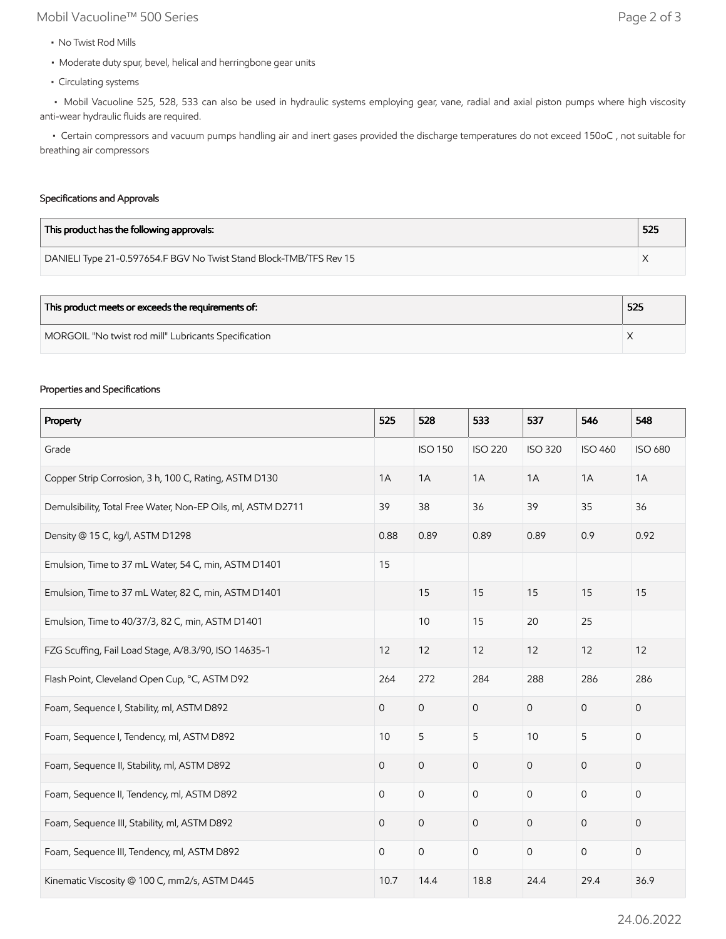# Mobil Vacuoline™ 500 Series Page 2 of 3

- No Twist Rod Mills
- Moderate duty spur, bevel, helical and herringbone gear units
- Circulating systems

 • Mobil Vacuoline 525, 528, 533 can also be used in hydraulic systems employing gear, vane, radial and axial piston pumps where high viscosity anti-wear hydraulic fluids are required.

 • Certain compressors and vacuum pumps handling air and inert gases provided the discharge temperatures do not exceed 150oC , not suitable for breathing air compressors

## Specifications and Approvals

| This product has the following approvals:                          | 525 |
|--------------------------------------------------------------------|-----|
| DANIELI Type 21-0.597654.F BGV No Twist Stand Block-TMB/TFS Rev 15 |     |

| This product meets or exceeds the requirements of:   | 525 |
|------------------------------------------------------|-----|
| MORGOIL "No twist rod mill" Lubricants Specification |     |

#### Properties and Specifications

| Property                                                     | 525            | 528                 | 533                 | 537            | 546            | 548            |
|--------------------------------------------------------------|----------------|---------------------|---------------------|----------------|----------------|----------------|
| Grade                                                        |                | <b>ISO 150</b>      | <b>ISO 220</b>      | <b>ISO 320</b> | <b>ISO 460</b> | <b>ISO 680</b> |
| Copper Strip Corrosion, 3 h, 100 C, Rating, ASTM D130        | 1A             | 1A                  | 1A                  | 1A             | 1A             | 1A             |
| Demulsibility, Total Free Water, Non-EP Oils, ml, ASTM D2711 | 39             | 38                  | 36                  | 39             | 35             | 36             |
| Density @ 15 C, kg/l, ASTM D1298                             | 0.88           | 0.89                | 0.89                | 0.89           | 0.9            | 0.92           |
| Emulsion, Time to 37 mL Water, 54 C, min, ASTM D1401         | 15             |                     |                     |                |                |                |
| Emulsion, Time to 37 mL Water, 82 C, min, ASTM D1401         |                | 15                  | 15                  | 15             | 15             | 15             |
| Emulsion, Time to 40/37/3, 82 C, min, ASTM D1401             |                | 10                  | 15                  | 20             | 25             |                |
| FZG Scuffing, Fail Load Stage, A/8.3/90, ISO 14635-1         | 12             | 12                  | 12                  | 12             | 12             | 12             |
| Flash Point, Cleveland Open Cup, °C, ASTM D92                | 264            | 272                 | 284                 | 288            | 286            | 286            |
| Foam, Sequence I, Stability, ml, ASTM D892                   | $\mathbf 0$    | $\mathsf{O}\xspace$ | $\mathsf{O}\xspace$ | $\mathbf{O}$   | $\mathbf 0$    | $\mathbf 0$    |
| Foam, Sequence I, Tendency, ml, ASTM D892                    | 10             | 5                   | 5                   | 10             | 5              | $\mathbf 0$    |
| Foam, Sequence II, Stability, ml, ASTM D892                  | $\mathbf 0$    | $\mathsf{O}$        | $\overline{0}$      | $\mathbf{O}$   | $\overline{0}$ | 0              |
| Foam, Sequence II, Tendency, ml, ASTM D892                   | $\mathbf 0$    | $\mathbf 0$         | $\mathbf 0$         | $\mathbf 0$    | 0              | 0              |
| Foam, Sequence III, Stability, ml, ASTM D892                 | $\mathbf 0$    | $\mathsf{O}\xspace$ | $\mathbf 0$         | $\mathbf 0$    | 0              | 0              |
| Foam, Sequence III, Tendency, ml, ASTM D892                  | $\overline{0}$ | $\mathsf{O}\xspace$ | $\mathsf{O}$        | $\mathsf{O}$   | $\mathbf 0$    | $\mathbf 0$    |
| Kinematic Viscosity @ 100 C, mm2/s, ASTM D445                | 10.7           | 14.4                | 18.8                | 24.4           | 29.4           | 36.9           |